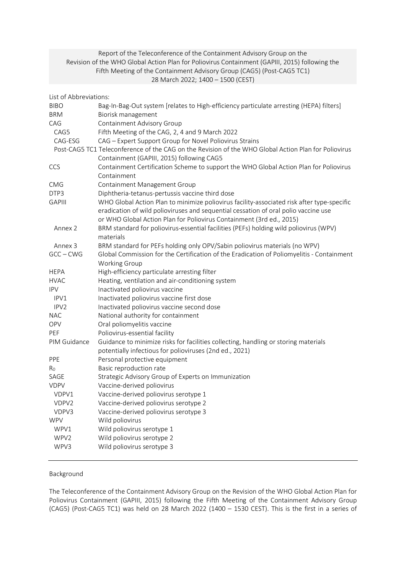# Report of the Teleconference of the Containment Advisory Group on the Revision of the WHO Global Action Plan for Poliovirus Containment (GAPIII, 2015) following the Fifth Meeting of the Containment Advisory Group (CAG5) (Post-CAG5 TC1) 28 March 2022; 1400 – 1500 (CEST)

| List of Abbreviations: |                                                                                                      |
|------------------------|------------------------------------------------------------------------------------------------------|
| <b>BIBO</b>            | Bag-In-Bag-Out system [relates to High-efficiency particulate arresting (HEPA) filters]              |
| <b>BRM</b>             | Biorisk management                                                                                   |
| CAG                    | Containment Advisory Group                                                                           |
| CAG5                   | Fifth Meeting of the CAG, 2, 4 and 9 March 2022                                                      |
| CAG-ESG                | CAG - Expert Support Group for Novel Poliovirus Strains                                              |
|                        | Post-CAG5 TC1 Teleconference of the CAG on the Revision of the WHO Global Action Plan for Poliovirus |
|                        | Containment (GAPIII, 2015) following CAG5                                                            |
| CCS                    | Containment Certification Scheme to support the WHO Global Action Plan for Poliovirus                |
|                        | Containment                                                                                          |
| <b>CMG</b>             | Containment Management Group                                                                         |
| DTP3                   | Diphtheria-tetanus-pertussis vaccine third dose                                                      |
| <b>GAPIII</b>          | WHO Global Action Plan to minimize poliovirus facility-associated risk after type-specific           |
|                        | eradication of wild polioviruses and sequential cessation of oral polio vaccine use                  |
|                        | or WHO Global Action Plan for Poliovirus Containment (3rd ed., 2015)                                 |
| Annex 2                | BRM standard for poliovirus-essential facilities (PEFs) holding wild poliovirus (WPV)                |
|                        | materials                                                                                            |
| Annex 3                | BRM standard for PEFs holding only OPV/Sabin poliovirus materials (no WPV)                           |
| $GCC - CWG$            | Global Commission for the Certification of the Eradication of Poliomyelitis - Containment            |
|                        | Working Group                                                                                        |
| <b>HEPA</b>            | High-efficiency particulate arresting filter                                                         |
| <b>HVAC</b>            | Heating, ventilation and air-conditioning system                                                     |
| <b>IPV</b>             | Inactivated poliovirus vaccine                                                                       |
| IPV1                   | Inactivated poliovirus vaccine first dose                                                            |
| IPV <sub>2</sub>       | Inactivated poliovirus vaccine second dose                                                           |
| <b>NAC</b>             | National authority for containment                                                                   |
| <b>OPV</b>             | Oral poliomyelitis vaccine                                                                           |
| PEF                    | Poliovirus-essential facility                                                                        |
| PIM Guidance           | Guidance to minimize risks for facilities collecting, handling or storing materials                  |
|                        | potentially infectious for polioviruses (2nd ed., 2021)                                              |
| PPE                    | Personal protective equipment                                                                        |
| R <sub>0</sub>         | Basic reproduction rate                                                                              |
| SAGE                   | Strategic Advisory Group of Experts on Immunization                                                  |
| <b>VDPV</b>            | Vaccine-derived poliovirus                                                                           |
| VDPV1                  | Vaccine-derived poliovirus serotype 1                                                                |
| VDPV2                  | Vaccine-derived poliovirus serotype 2                                                                |
| VDPV3                  | Vaccine-derived poliovirus serotype 3                                                                |
| <b>WPV</b>             | Wild poliovirus                                                                                      |
| WPV1                   | Wild poliovirus serotype 1                                                                           |
| WPV2                   | Wild poliovirus serotype 2                                                                           |
| WPV3                   | Wild poliovirus serotype 3                                                                           |
|                        |                                                                                                      |

# Background

The Teleconference of the Containment Advisory Group on the Revision of the WHO Global Action Plan for Poliovirus Containment (GAPIII, 2015) following the Fifth Meeting of the Containment Advisory Group (CAG5) (Post-CAG5 TC1) was held on 28 March 2022 (1400 – 1530 CEST). This is the first in a series of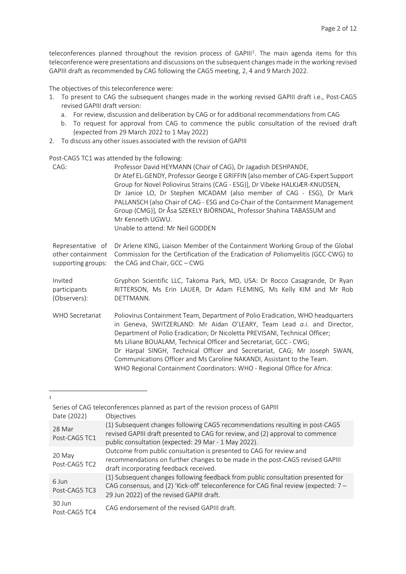teleconferences planned throughout the revision process of GAPIII<sup>[1](#page-1-0)</sup>. The main agenda items for this teleconference were presentations and discussions on the subsequent changes made in the working revised GAPIII draft as recommended by CAG following the CAG5 meeting, 2, 4 and 9 March 2022.

The objectives of this teleconference were:

- 1. To present to CAG the subsequent changes made in the working revised GAPIII draft i.e., Post-CAG5 revised GAPIII draft version:
	- a. For review, discussion and deliberation by CAG or for additional recommendations from CAG
	- b. To request for approval from CAG to commence the public consultation of the revised draft (expected from 29 March 2022 to 1 May 2022)
- 2. To discuss any other issues associated with the revision of GAPIII

Post-CAG5 TC1 was attended by the following:

| CAG:               | Professor David HEYMANN (Chair of CAG), Dr Jagadish DESHPANDE,<br>Dr Atef EL-GENDY, Professor George E GRIFFIN [also member of CAG-Expert Support<br>Group for Novel Poliovirus Strains (CAG - ESG)], Dr Vibeke HALKJÆR-KNUDSEN,<br>Dr Janice LO, Dr Stephen MCADAM (also member of CAG - ESG), Dr Mark<br>PALLANSCH (also Chair of CAG - ESG and Co-Chair of the Containment Management<br>Group (CMG)], Dr Åsa SZEKELY BJÖRNDAL, Professor Shahina TABASSUM and<br>Mr Kenneth UGWU.<br>Unable to attend: Mr Neil GODDEN                      |
|--------------------|------------------------------------------------------------------------------------------------------------------------------------------------------------------------------------------------------------------------------------------------------------------------------------------------------------------------------------------------------------------------------------------------------------------------------------------------------------------------------------------------------------------------------------------------|
| Representative of  | Dr Arlene KING, Liaison Member of the Containment Working Group of the Global                                                                                                                                                                                                                                                                                                                                                                                                                                                                  |
| other containment  | Commission for the Certification of the Eradication of Poliomyelitis (GCC-CWG) to                                                                                                                                                                                                                                                                                                                                                                                                                                                              |
| supporting groups: | the CAG and Chair, GCC - CWG                                                                                                                                                                                                                                                                                                                                                                                                                                                                                                                   |
| Invited            | Gryphon Scientific LLC, Takoma Park, MD, USA: Dr Rocco Casagrande, Dr Ryan                                                                                                                                                                                                                                                                                                                                                                                                                                                                     |
| participants       | RITTERSON, Ms Erin LAUER, Dr Adam FLEMING, Ms Kelly KIM and Mr Rob                                                                                                                                                                                                                                                                                                                                                                                                                                                                             |
| (Observers):       | DETTMANN.                                                                                                                                                                                                                                                                                                                                                                                                                                                                                                                                      |
| WHO Secretariat    | Poliovirus Containment Team, Department of Polio Eradication, WHO headquarters<br>in Geneva, SWITZERLAND: Mr Aidan O'LEARY, Team Lead a.i. and Director,<br>Department of Polio Eradication; Dr Nicoletta PREVISANI, Technical Officer;<br>Ms Liliane BOUALAM, Technical Officer and Secretariat, GCC - CWG;<br>Dr Harpal SINGH, Technical Officer and Secretariat, CAG; Mr Joseph SWAN,<br>Communications Officer and Ms Caroline NAKANDI, Assistant to the Team.<br>WHO Regional Containment Coordinators: WHO - Regional Office for Africa: |

<span id="page-1-0"></span>1

|             | Series of CAG teleconferences planned as part of the revision process of GAPIII |
|-------------|---------------------------------------------------------------------------------|
| Date (2022) | Objectives                                                                      |

| 28 Mar<br>Post-CAG5 TC1 | (1) Subsequent changes following CAG5 recommendations resulting in post-CAG5<br>revised GAPIII draft presented to CAG for review, and (2) approval to commence<br>public consultation (expected: 29 Mar - 1 May 2022). |
|-------------------------|------------------------------------------------------------------------------------------------------------------------------------------------------------------------------------------------------------------------|
| 20 May<br>Post-CAG5 TC2 | Outcome from public consultation is presented to CAG for review and<br>recommendations on further changes to be made in the post-CAG5 revised GAPIII<br>draft incorporating feedback received.                         |
| 6 Jun<br>Post-CAG5 TC3  | (1) Subsequent changes following feedback from public consultation presented for<br>CAG consensus, and (2) 'Kick-off' teleconference for CAG final review (expected: 7 -<br>29 Jun 2022) of the revised GAPIII draft.  |
| 30 Jun<br>Post-CAG5 TC4 | CAG endorsement of the revised GAPIII draft.                                                                                                                                                                           |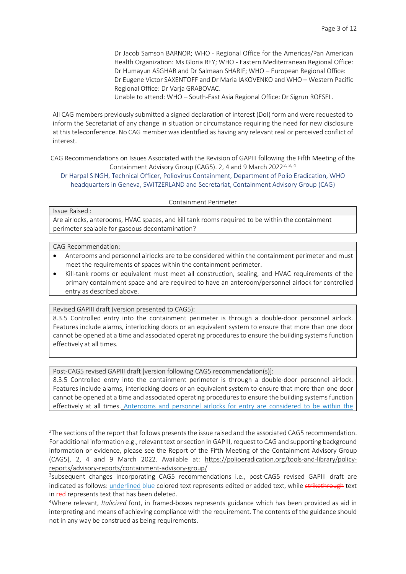Dr Jacob Samson BARNOR; WHO - Regional Office for the Americas/Pan American Health Organization: Ms Gloria REY; WHO - Eastern Mediterranean Regional Office: Dr Humayun ASGHAR and Dr Salmaan SHARIF; WHO – European Regional Office: Dr Eugene Victor SAXENTOFF and Dr Maria IAKOVENKO and WHO – Western Pacific Regional Office: Dr Varja GRABOVAC.

Unable to attend: WHO – South-East Asia Regional Office: Dr Sigrun ROESEL.

All CAG members previously submitted a signed declaration of interest (DoI) form and were requested to inform the Secretariat of any change in situation or circumstance requiring the need for new disclosure at this teleconference. No CAG member wasidentified as having any relevant real or perceived conflict of interest.

CAG Recommendations on Issues Associated with the Revision of GAPIII following the Fifth Meeting of the Containment Advisory Group (CAG5). [2](#page-2-0), 4 and 9 March 2022<sup>2, [3,](#page-2-1) [4](#page-2-2)</sup>

Dr Harpal SINGH, Technical Officer, Poliovirus Containment, Department of Polio Eradication, WHO headquarters in Geneva, SWITZERLAND and Secretariat, Containment Advisory Group (CAG)

#### Containment Perimeter

#### Issue Raised :

Are airlocks, anterooms, HVAC spaces, and kill tank rooms required to be within the containment perimeter sealable for gaseous decontamination?

#### CAG Recommendation:

- Anterooms and personnel airlocks are to be considered within the containment perimeter and must meet the requirements of spaces within the containment perimeter.
- Kill-tank rooms or equivalent must meet all construction, sealing, and HVAC requirements of the primary containment space and are required to have an anteroom/personnel airlock for controlled entry as described above.

Revised GAPIII draft (version presented to CAG5):

8.3.5 Controlled entry into the containment perimeter is through a double-door personnel airlock. Features include alarms, interlocking doors or an equivalent system to ensure that more than one door cannot be opened at a time and associated operating procedures to ensure the building systems function effectively at all times.

Post-CAG5 revised GAPIII draft [version following CAG5 recommendation(s)]:

8.3.5 Controlled entry into the containment perimeter is through a double-door personnel airlock. Features include alarms, interlocking doors or an equivalent system to ensure that more than one door cannot be opened at a time and associated operating procedures to ensure the building systems function effectively at all times. Anterooms and personnel airlocks for entry are considered to be within the

<span id="page-2-0"></span><sup>&</sup>lt;sup>2</sup>The sections of the report that follows presents the issue raised and the associated CAG5 recommendation. For additional information e.g., relevant text or section in GAPIII, request to CAG and supporting background information or evidence, please see the Report of the Fifth Meeting of the Containment Advisory Group (CAG5), 2, 4 and 9 March 2022. Available at: [https://polioeradication.org/tools-and-library/policy](https://polioeradication.org/tools-and-library/policy-reports/advisory-reports/containment-advisory-group/)[reports/advisory-reports/containment-advisory-group/](https://polioeradication.org/tools-and-library/policy-reports/advisory-reports/containment-advisory-group/)

<span id="page-2-1"></span><sup>&</sup>lt;sup>3</sup>subsequent changes incorporating CAG5 recommendations i.e., post-CAG5 revised GAPIII draft are indicated as follows: underlined blue colored text represents edited or added text, while strikethrough text in red represents text that has been deleted.

<span id="page-2-2"></span><sup>4</sup>Where relevant, *Italicized* font, in framed-boxes represents guidance which has been provided as aid in interpreting and means of achieving compliance with the requirement. The contents of the guidance should not in any way be construed as being requirements.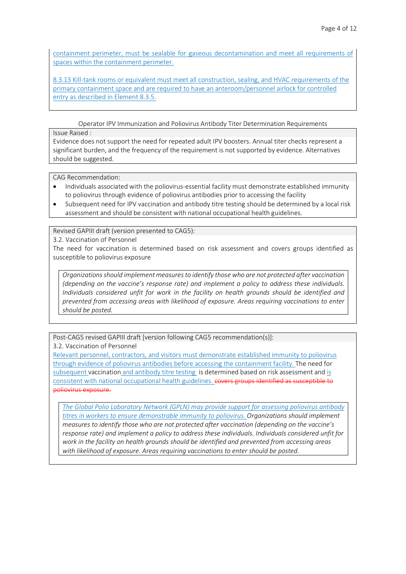containment perimeter, must be sealable for gaseous decontamination and meet all requirements of spaces within the containment perimeter.

8.3.13 Kill-tank rooms or equivalent must meet all construction, sealing, and HVAC requirements of the primary containment space and are required to have an anteroom/personnel airlock for controlled entry as described in Element 8.3.5.

Operator IPV Immunization and Poliovirus Antibody Titer Determination Requirements

## Issue Raised :

Evidence does not support the need for repeated adult IPV boosters. Annual titer checks represent a significant burden, and the frequency of the requirement is not supported by evidence. Alternatives should be suggested.

CAG Recommendation:

- Individuals associated with the poliovirus-essential facility must demonstrate established immunity to poliovirus through evidence of poliovirus antibodies prior to accessing the facility
- Subsequent need for IPV vaccination and antibody titre testing should be determined by a local risk assessment and should be consistent with national occupational health guidelines.

Revised GAPIII draft (version presented to CAG5):

3.2. Vaccination of Personnel

The need for vaccination is determined based on risk assessment and covers groups identified as susceptible to poliovirus exposure

*Organizations should implement measures to identify those who are not protected after vaccination (depending on the vaccine's response rate) and implement a policy to address these individuals. Individuals considered unfit for work in the facility on health grounds should be identified and prevented from accessing areas with likelihood of exposure. Areas requiring vaccinations to enter should be posted.*

Post-CAG5 revised GAPIII draft [version following CAG5 recommendation(s)]:

3.2. Vaccination of Personnel

Relevant personnel, contractors, and visitors must demonstrate established immunity to poliovirus through evidence of poliovirus antibodies before accessing the containment facility. The need for subsequent vaccination and antibody titre testing is determined based on risk assessment and is consistent with national occupational health guidelines. covers groups identified as susceptible to poliovirus exposure.

*The Global Polio Laboratory Network (GPLN) may provide support for assessing poliovirus antibody titres in workers to ensure demonstrable immunity to poliovirus. Organizations should implement measures to identify those who are not protected after vaccination (depending on the vaccine's response rate) and implement a policy to address these individuals. Individuals considered unfit for work in the facility on health grounds should be identified and prevented from accessing areas with likelihood of exposure. Areas requiring vaccinations to enter should be posted.*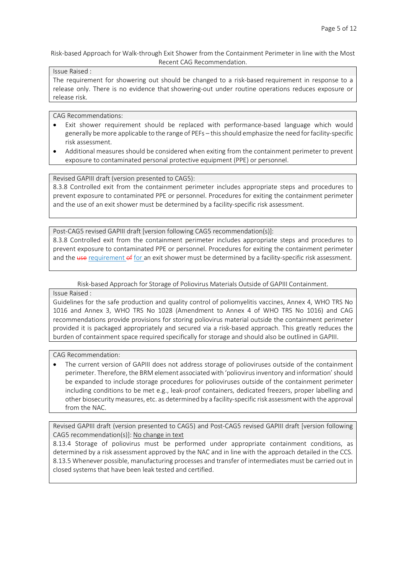Risk-based Approach for Walk-through Exit Shower from the Containment Perimeter in line with the Most Recent CAG Recommendation.

# Issue Raised :

The requirement for showering out should be changed to a risk-based requirement in response to a release only. There is no evidence that showering-out under routine operations reduces exposure or release risk.

CAG Recommendations:

- Exit shower requirement should be replaced with performance-based language which would generally be more applicable to the range of PEFs – this should emphasize the need for facility-specific risk assessment.
- Additional measures should be considered when exiting from the containment perimeter to prevent exposure to contaminated personal protective equipment (PPE) or personnel.

Revised GAPIII draft (version presented to CAG5):

8.3.8 Controlled exit from the containment perimeter includes appropriate steps and procedures to prevent exposure to contaminated PPE or personnel. Procedures for exiting the containment perimeter and the use of an exit shower must be determined by a facility-specific risk assessment.

Post-CAG5 revised GAPIII draft [version following CAG5 recommendation(s)]: 8.3.8 Controlled exit from the containment perimeter includes appropriate steps and procedures to prevent exposure to contaminated PPE or personnel. Procedures for exiting the containment perimeter and the use requirement of for an exit shower must be determined by a facility-specific risk assessment.

Risk-based Approach for Storage of Poliovirus Materials Outside of GAPIII Containment.

Issue Raised :

Guidelines for the safe production and quality control of poliomyelitis vaccines, Annex 4, WHO TRS No 1016 and Annex 3, WHO TRS No 1028 (Amendment to Annex 4 of WHO TRS No 1016) and CAG recommendations provide provisions for storing poliovirus material outside the containment perimeter provided it is packaged appropriately and secured via a risk-based approach. This greatly reduces the burden of containment space required specifically for storage and should also be outlined in GAPIII.

CAG Recommendation:

• The current version of GAPIII does not address storage of polioviruses outside of the containment perimeter. Therefore, the BRM element associated with 'poliovirus inventory and information'should be expanded to include storage procedures for polioviruses outside of the containment perimeter including conditions to be met e.g., leak-proof containers, dedicated freezers, proper labelling and other biosecurity measures, etc. as determined by a facility-specific risk assessmentwith the approval from the NAC.

Revised GAPIII draft (version presented to CAG5) and Post-CAG5 revised GAPIII draft [version following CAG5 recommendation(s)]: No change in text

8.13.4 Storage of poliovirus must be performed under appropriate containment conditions, as determined by a risk assessment approved by the NAC and in line with the approach detailed in the CCS. 8.13.5 Whenever possible, manufacturing processes and transfer of intermediates must be carried out in closed systems that have been leak tested and certified.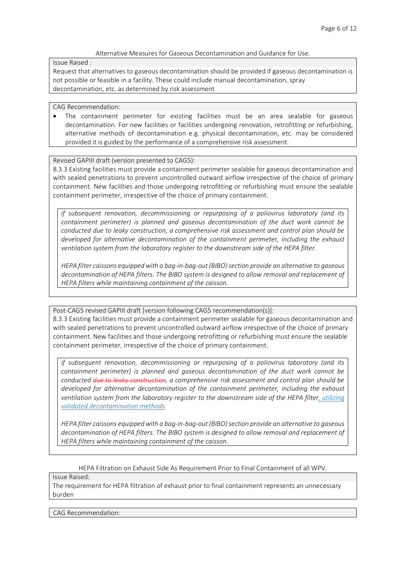## Alternative Measures for Gaseous Decontamination and Guidance for Use.

Issue Raised :

Request that alternatives to gaseous decontamination should be provided if gaseous decontamination is not possible or feasible in a facility. These could include manual decontamination, spray decontamination, etc. as determined by risk assessment

### CAG Recommendation:

• The containment perimeter for existing facilities must be an area sealable for gaseous decontamination. For new facilities or facilities undergoing renovation, retrofitting or refurbishing, alternative methods of decontamination e.g. physical decontamination, etc. may be considered provided it is guided by the performance of a comprehensive risk assessment.

Revised GAPIII draft (version presented to CAG5):

8.3.3 Existing facilities must provide a containment perimeter sealable for gaseous decontamination and with sealed penetrations to prevent uncontrolled outward airflow irrespective of the choice of primary containment. New facilities and those undergoing retrofitting or refurbishing must ensure the sealable containment perimeter, irrespective of the choice of primary containment.

*if subsequent renovation, decommissioning or repurposing of a poliovirus laboratory (and its containment perimeter) is planned and gaseous decontamination of the duct work cannot be conducted due to leaky construction, a comprehensive risk assessment and control plan should be developed for alternative decontamination of the containment perimeter, including the exhaust ventilation system from the laboratory register to the downstream side of the HEPA filter.*

*HEPA filter caissons equipped with a bag-in-bag-out (BIBO) section provide an alternative to gaseous decontamination of HEPA filters. The BIBO system is designed to allow removal and replacement of HEPA filters while maintaining containment of the caisson.*

Post-CAG5 revised GAPIII draft [version following CAG5 recommendation(s)]:

8.3.3 Existing facilities must provide a containment perimeter sealable for gaseous decontamination and with sealed penetrations to prevent uncontrolled outward airflow irrespective of the choice of primary containment. New facilities and those undergoing retrofitting or refurbishing must ensure the sealable containment perimeter, irrespective of the choice of primary containment.

*if subsequent renovation, decommissioning or repurposing of a poliovirus laboratory (and its containment perimeter) is planned and gaseous decontamination of the duct work cannot be conducted due to leaky construction, a comprehensive risk assessment and control plan should be developed for alternative decontamination of the containment perimeter, including the exhaust ventilation system from the laboratory register to the downstream side of the HEPA filter, utilizing validated decontamination methods.*

*HEPA filter caissons equipped with a bag-in-bag-out (BIBO) section provide an alternative to gaseous decontamination of HEPA filters. The BIBO system is designed to allow removal and replacement of HEPA filters while maintaining containment of the caisson.*

HEPA Filtration on Exhaust Side As Requirement Prior to Final Containment of all WPV.

Issue Raised:

The requirement for HEPA filtration of exhaust prior to final containment represents an unnecessary burden

CAG Recommendation: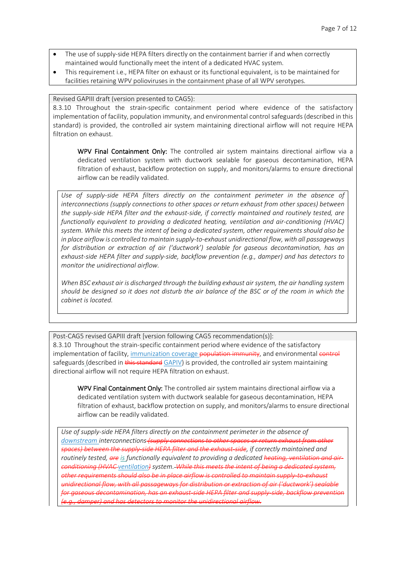- The use of supply-side HEPA filters directly on the containment barrier if and when correctly maintained would functionally meet the intent of a dedicated HVAC system.
- This requirement i.e., HEPA filter on exhaust or its functional equivalent, is to be maintained for facilities retaining WPV polioviruses in the containment phase of all WPV serotypes.

#### Revised GAPIII draft (version presented to CAG5):

8.3.10 Throughout the strain-specific containment period where evidence of the satisfactory implementation of facility, population immunity, and environmental control safeguards (described in this standard) is provided, the controlled air system maintaining directional airflow will not require HEPA filtration on exhaust.

WPV Final Containment Only: The controlled air system maintains directional airflow via a dedicated ventilation system with ductwork sealable for gaseous decontamination, HEPA filtration of exhaust, backflow protection on supply, and monitors/alarms to ensure directional airflow can be readily validated.

*Use of supply-side HEPA filters directly on the containment perimeter in the absence of interconnections (supply connections to other spaces or return exhaust from other spaces) between the supply-side HEPA filter and the exhaust-side, if correctly maintained and routinely tested, are functionally equivalent to providing a dedicated heating, ventilation and air-conditioning (HVAC) system. While this meets the intent of being a dedicated system, other requirements should also be in place airflow is controlled to maintain supply-to-exhaust unidirectional flow, with all passageways for distribution or extraction of air ('ductwork') sealable for gaseous decontamination, has an exhaust-side HEPA filter and supply-side, backflow prevention (e.g., damper) and has detectors to monitor the unidirectional airflow.*

*When BSC exhaust air is discharged through the building exhaust air system, the air handling system should be designed so it does not disturb the air balance of the BSC or of the room in which the cabinet is located.*

Post-CAG5 revised GAPIII draft [version following CAG5 recommendation(s)]: 8.3.10 Throughout the strain-specific containment period where evidence of the satisfactory implementation of facility, immunization coverage population immunity, and environmental control safeguards (described in this standard GAPIV) is provided, the controlled air system maintaining directional airflow will not require HEPA filtration on exhaust.

WPV Final Containment Only: The controlled air system maintains directional airflow via a dedicated ventilation system with ductwork sealable for gaseous decontamination, HEPA filtration of exhaust, backflow protection on supply, and monitors/alarms to ensure directional airflow can be readily validated.

*Use of supply-side HEPA filters directly on the containment perimeter in the absence of downstream interconnections (supply connections to other spaces or return exhaust from other spaces) between the supply-side HEPA filter and the exhaust-side, if correctly maintained and routinely tested, are is functionally equivalent to providing a dedicated heating, ventilation and airconditioning (HVAC ventilation) system. While this meets the intent of being a dedicated system, other requirements should also be in place airflow is controlled to maintain supply-to-exhaust unidirectional flow, with all passageways for distribution or extraction of air ('ductwork') sealable for gaseous decontamination, has an exhaust-side HEPA filter and supply-side, backflow prevention (e.g., damper) and has detectors to monitor the unidirectional airflow.*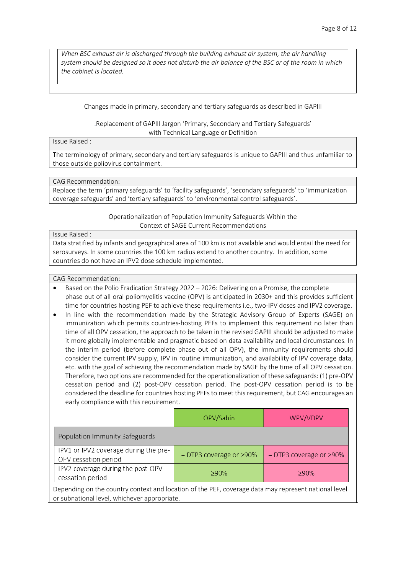*When BSC exhaust air is discharged through the building exhaust air system, the air handling system should be designed so it does not disturb the air balance of the BSC or of the room in which the cabinet is located.*

Changes made in primary, secondary and tertiary safeguards as described in GAPIII

.Replacement of GAPIII Jargon 'Primary, Secondary and Tertiary Safeguards' with Technical Language or Definition

### Issue Raised :

The terminology of primary, secondary and tertiary safeguards is unique to GAPIII and thus unfamiliar to those outside poliovirus containment.

### CAG Recommendation:

Replace the term 'primary safeguards' to 'facility safeguards', 'secondary safeguards' to 'immunization coverage safeguards' and 'tertiary safeguards' to 'environmental control safeguards'.

> Operationalization of Population Immunity Safeguards Within the Context of SAGE Current Recommendations

### Issue Raised :

Data stratified by infants and geographical area of 100 km is not available and would entail the need for serosurveys. In some countries the 100 km radius extend to another country. In addition, some countries do not have an IPV2 dose schedule implemented.

### CAG Recommendation:

- Based on the Polio Eradication Strategy 2022 2026: Delivering on a Promise, the complete phase out of all oral poliomyelitis vaccine (OPV) is anticipated in 2030+ and this provides sufficient time for countries hosting PEF to achieve these requirements i.e., two-IPV doses and IPV2 coverage.
- In line with the recommendation made by the Strategic Advisory Group of Experts (SAGE) on immunization which permits countries-hosting PEFs to implement this requirement no later than time of all OPV cessation, the approach to be taken in the revised GAPIII should be adjusted to make it more globally implementable and pragmatic based on data availability and local circumstances. In the interim period (before complete phase out of all OPV), the immunity requirements should consider the current IPV supply, IPV in routine immunization, and availability of IPV coverage data, etc. with the goal of achieving the recommendation made by SAGE by the time of all OPV cessation. Therefore, two options are recommended for the operationalization of these safeguards: (1) pre-OPV cessation period and (2) post-OPV cessation period. The post-OPV cessation period is to be considered the deadline for countries hosting PEFs to meet this requirement, but CAG encourages an early compliance with this requirement.

|                                                                                                      | OPV/Sabin                     | WPV/VDPV                      |  |
|------------------------------------------------------------------------------------------------------|-------------------------------|-------------------------------|--|
| Population Immunity Safeguards                                                                       |                               |                               |  |
| IPV1 or IPV2 coverage during the pre-<br>OPV cessation period                                        | = DTP3 coverage or $\geq$ 90% | = DTP3 coverage or $\geq$ 90% |  |
| IPV2 coverage during the post-OPV<br>cessation period                                                | ≥90%                          | $>90\%$                       |  |
| Depending on the country context and location of the PEF, coverage data may represent national level |                               |                               |  |

Depending on the country context and location of the PEF, coverage data may represent national level or subnational level, whichever appropriate.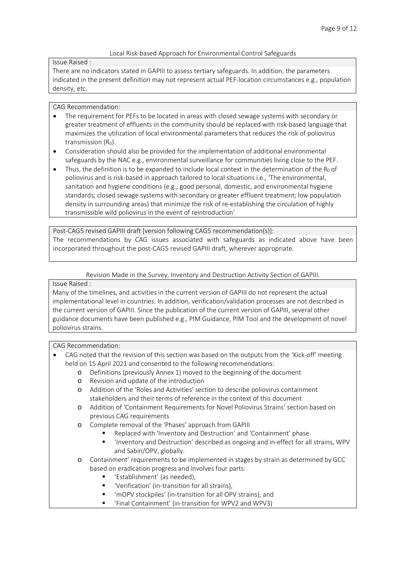# Local Risk-based Approach for Environmental Control Safeguards

Issue Raised :

There are no indicators stated in GAPIII to assess tertiary safeguards. In addition, the parameters indicated in the present definition may not represent actual PEF-location circumstances e.g., population density, etc.

## CAG Recommendation:

- The requirement for PEFs to be located in areas with closed sewage systems with secondary or greater treatment of effluents in the community should be replaced with risk-based language that maximizes the utilization of local environmental parameters that reduces the risk of poliovirus transmission  $(R_0)$ .
- Consideration should also be provided for the implementation of additional environmental safeguards by the NAC e.g., environmental surveillance for communities living close to the PEF.
- Thus, the definition is to be expanded to include local context in the determination of the  $R_0$  of poliovirus and is risk-based in approach tailored to local situations i.e., 'The environmental, sanitation and hygiene conditions (e.g., good personal, domestic, and environmental hygiene standards; closed sewage systems with secondary or greater effluent treatment; low population density in surrounding areas) that minimize the risk of re-establishing the circulation of highly transmissible wild poliovirus in the event of reintroduction'

Post-CAG5 revised GAPIII draft [version following CAG5 recommendation(s)]: The recommendations by CAG issues associated with safeguards as indicated above have been incorporated throughout the post-CAG5 revised GAPIII draft, wherever appropriate.

Revision Made in the Survey, Inventory and Destruction Activity Section of GAPIII.

# Issue Raised :

Many of the timelines, and activities in the current version of GAPIII do not represent the actual implementational level in countries. In addition, verification/validation processes are not described in the current version of GAPIII. Since the publication of the current version of GAPIII, several other guidance documents have been published e.g., PIM Guidance, PIM Tool and the development of novel poliovirus strains.

## CAG Recommendation:

- CAG noted that the revision of this section was based on the outputs from the 'Kick-off' meeting held on 15 April 2021 and consented to the following recommendations:
	- o Definitions (previously Annex 1) moved to the beginning of the document
	- o Revision and update of the introduction
	- o Addition of the 'Roles and Activities' section to describe poliovirus containment stakeholders and their terms of reference in the context of this document
	- o Addition of 'Containment Requirements for Novel Poliovirus Strains' section based on previous CAG requirements
	- o Complete removal of the 'Phases' approach from GAPIII
		- Replaced with 'Inventory and Destruction' and 'Containment' phase.
		- 'Inventory and Destruction' described as ongoing and in-effect for all strains, WPV and Sabin/OPV, globally.

o Containment' requirements to be implemented in stages by strain as determined by GCC based on eradication progress and involves four parts:

- 'Establishment' (as needed),
- 'Verification' (in-transition for all strains),
- 'mOPV stockpiles' (in-transition for all OPV strains), and
- 'Final Containment' (in-transition for WPV2 and WPV3)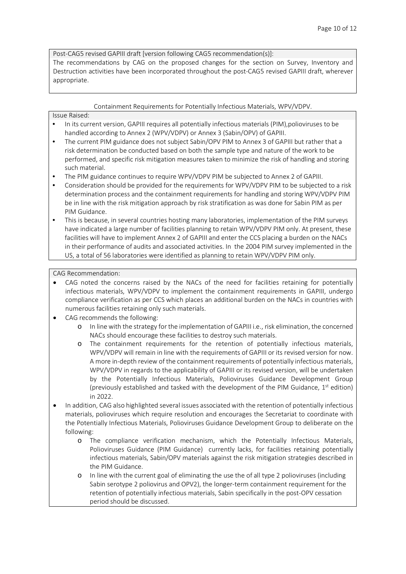Post-CAG5 revised GAPIII draft [version following CAG5 recommendation(s)]:

The recommendations by CAG on the proposed changes for the section on Survey, Inventory and Destruction activities have been incorporated throughout the post-CAG5 revised GAPIII draft, wherever appropriate.

### Containment Requirements for Potentially Infectious Materials, WPV/VDPV.

Issue Raised:

- In its current version, GAPIII requires all potentially infectious materials (PIM),polioviruses to be handled according to Annex 2 (WPV/VDPV) or Annex 3 (Sabin/OPV) of GAPIII.
- The current PIM guidance does not subject Sabin/OPV PIM to Annex 3 of GAPIII but rather that a risk determination be conducted based on both the sample type and nature of the work to be performed, and specific risk mitigation measures taken to minimize the risk of handling and storing such material.
- The PIM guidance continues to require WPV/VDPV PIM be subjected to Annex 2 of GAPIII.
- Consideration should be provided for the requirements for WPV/VDPV PIM to be subjected to a risk determination process and the containment requirements for handling and storing WPV/VDPV PIM be in line with the risk mitigation approach by risk stratification as was done for Sabin PIM as per PIM Guidance.
- This is because, in several countries hosting many laboratories, implementation of the PIM surveys have indicated a large number of facilities planning to retain WPV/VDPV PIM only. At present, these facilities will have to implement Annex 2 of GAPIII and enter the CCS placing a burden on the NACs in their performance of audits and associated activities. In the 2004 PIM survey implemented in the US, a total of 56 laboratories were identified as planning to retain WPV/VDPV PIM only.

CAG Recommendation:

- CAG noted the concerns raised by the NACs of the need for facilities retaining for potentially infectious materials, WPV/VDPV to implement the containment requirements in GAPIII, undergo compliance verification as per CCS which places an additional burden on the NACs in countries with numerous facilities retaining only such materials.
- CAG recommends the following:
	- o In line with the strategy for the implementation of GAPIII i.e., risk elimination, the concerned NACs should encourage these facilities to destroy such materials.
	- o The containment requirements for the retention of potentially infectious materials, WPV/VDPV will remain in line with the requirements of GAPIII or its revised version for now. A more in-depth review of the containment requirements of potentially infectious materials, WPV/VDPV in regards to the applicability of GAPIII or its revised version, will be undertaken by the Potentially Infectious Materials, Polioviruses Guidance Development Group (previously established and tasked with the development of the PIM Guidance,  $1<sup>st</sup>$  edition) in 2022.
- In addition, CAG also highlighted several issues associated with the retention of potentially infectious materials, polioviruses which require resolution and encourages the Secretariat to coordinate with the Potentially Infectious Materials, Polioviruses Guidance Development Group to deliberate on the following:
	- o The compliance verification mechanism, which the Potentially Infectious Materials, Polioviruses Guidance (PIM Guidance) currently lacks, for facilities retaining potentially infectious materials, Sabin/OPV materials against the risk mitigation strategies described in the PIM Guidance.
	- o In line with the current goal of eliminating the use the of all type 2 polioviruses (including Sabin serotype 2 poliovirus and OPV2), the longer-term containment requirement for the retention of potentially infectious materials, Sabin specifically in the post-OPV cessation period should be discussed.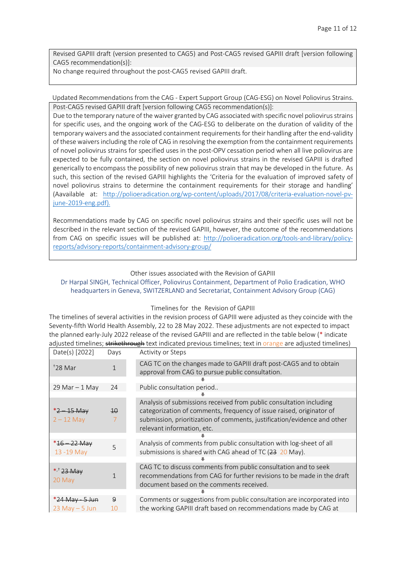Revised GAPIII draft (version presented to CAG5) and Post-CAG5 revised GAPIII draft [version following CAG5 recommendation(s)]:

No change required throughout the post-CAG5 revised GAPIII draft.

### Updated Recommendations from the CAG - Expert Support Group (CAG-ESG) on Novel Poliovirus Strains. Post-CAG5 revised GAPIII draft [version following CAG5 recommendation(s)]:

Due to the temporary nature of the waiver granted by CAG associated with specific novel poliovirus strains for specific uses, and the ongoing work of the CAG-ESG to deliberate on the duration of validity of the temporary waivers and the associated containment requirements for their handling after the end-validity of these waiversincluding the role of CAG in resolving the exemption from the containment requirements of novel poliovirus strains for specified uses in the post-OPV cessation period when all live poliovirus are expected to be fully contained, the section on novel poliovirus strains in the revised GAPIII is drafted generically to encompass the possibility of new poliovirus strain that may be developed in the future. As such, this section of the revised GAPIII highlights the 'Criteria for the evaluation of improved safety of novel poliovirus strains to determine the containment requirements for their storage and handling' (Aavailable at: [http://polioeradication.org/wp-content/uploads/2017/08/criteria-evaluation-novel-pv](http://polioeradication.org/wp-content/uploads/2017/08/criteria-evaluation-novel-pv-june-2019-eng.pdf)[june-2019-eng.pdf\)](http://polioeradication.org/wp-content/uploads/2017/08/criteria-evaluation-novel-pv-june-2019-eng.pdf).

Recommendations made by CAG on specific novel poliovirus strains and their specific uses will not be described in the relevant section of the revised GAPIII, however, the outcome of the recommendations from CAG on specific issues will be published at: [http://polioeradication.org/tools-and-library/policy](http://polioeradication.org/tools-and-library/policy-reports/advisory-reports/containment-advisory-group/)[reports/advisory-reports/containment-advisory-group/](http://polioeradication.org/tools-and-library/policy-reports/advisory-reports/containment-advisory-group/)

### Other issues associated with the Revision of GAPIII

## Dr Harpal SINGH, Technical Officer, Poliovirus Containment, Department of Polio Eradication, WHO headquarters in Geneva, SWITZERLAND and Secretariat, Containment Advisory Group (CAG)

### Timelines for the Revision of GAPIII

The timelines of several activities in the revision process of GAPIII were adjusted as they coincide with the Seventy-fifth World Health Assembly, 22 to 28 May 2022. These adjustments are not expected to impact the planned early-July 2022 release of the revised GAPIII and are reflected in the table below (\* indicate adjusted timelines; strikethrough text indicated previous timelines; text in orange are adjusted timelines)

| Date(s) [2022]                       | Days            | Activity or Steps                                                                                                                                                                                                                                     |  |
|--------------------------------------|-----------------|-------------------------------------------------------------------------------------------------------------------------------------------------------------------------------------------------------------------------------------------------------|--|
| $128$ Mar                            | $\mathbf{1}$    | CAG TC on the changes made to GAPIII draft post-CAG5 and to obtain<br>approval from CAG to pursue public consultation.                                                                                                                                |  |
|                                      |                 |                                                                                                                                                                                                                                                       |  |
| 29 Mar $-$ 1 May                     | 24              | Public consultation period                                                                                                                                                                                                                            |  |
|                                      |                 |                                                                                                                                                                                                                                                       |  |
| *2 – 15 May<br>$2 - 12$ May          | $\overline{10}$ | Analysis of submissions received from public consultation including<br>categorization of comments, frequency of issue raised, originator of<br>submission, prioritization of comments, justification/evidence and other<br>relevant information, etc. |  |
|                                      |                 |                                                                                                                                                                                                                                                       |  |
| $*16 - 22$ May<br>13 - 19 May        | 5               | Analysis of comments from public consultation with log-sheet of all<br>submissions is shared with CAG ahead of TC (23 20 May).                                                                                                                        |  |
|                                      |                 |                                                                                                                                                                                                                                                       |  |
| *, $+23$ May<br>20 May               |                 | CAG TC to discuss comments from public consultation and to seek<br>recommendations from CAG for further revisions to be made in the draft<br>document based on the comments received.                                                                 |  |
|                                      |                 |                                                                                                                                                                                                                                                       |  |
| *24 May - 5 Jun<br>$23$ May $-5$ Jun | 9<br>10         | Comments or suggestions from public consultation are incorporated into<br>the working GAPIII draft based on recommendations made by CAG at                                                                                                            |  |